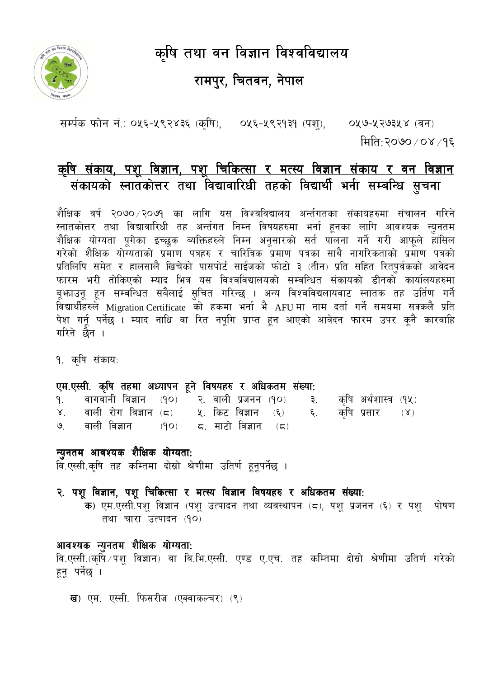कृषि तथा वन विज्ञान विश्वविद्यालय



# रामपुर, चितवन, नेपाल

सर्म्पक फोन नं.: ०५६-५९२४३६ (कृषि), ०५६-५९२१३१ (पशु), ०५७-५२७३५४ (वन) मिति:२०७०/०४/१६

# <u>कृषि संकाय, पशू विज्ञान, पशू चिकित्सा र मत्स्य विज्ञान संकाय र वन विज्ञान</u> <u>संकायको स्नातकोत्तर तथा विद्यावारिधी तहको विद्यार्थी भर्ना सम्बन्धि सूचना</u>

शैक्षिक वर्ष २०७० ∕२०७१ का लागि यस विश्वविद्यालय अर्न्तगतका संकायहरुमा संचालन गरिने स्नातकोत्तर तथा विद्यावारिधी तह अर्न्तगत निम्न विषयहरुमा भर्ना हूनका लागि आवश्यक न्युनतम .<br>शैक्षिक योग्यता पूगेका इच्छुक ब्यक्तिहरुले निम्न अनूसारको सर्त पालना गर्ने गरी आफूले हासिल गरेको शैक्षिक योग्यताको प्रमाण पत्रहरु र चारित्रिक प्रमाण पत्रका साथै नागरिकताको प्रमाण पत्रको प्रतिलिपि समेत र हालसालै खिचेको पासपोर्ट साईजको फोटो ३ (तीन) प्रति सहित रित्पूर्वकको आवेदन फारम भरी तोकिएको म्याद भित्र यस विश्वविद्यालयको सम्वन्धित संकायको डीनकोँ कार्यालयहरुमा बूभाउनू हून सम्वन्धित सबैलाई सुचित गरिन्छ । अन्य विश्वविद्यलायवाट स्नातक तह उर्तिण गर्ने विद्यार्थीहरुले Migration Certificate को हकमा भर्ना भै AFU मा नाम दर्ता गर्ने समयमा सक्कलै प्रति पेश गर्नू पर्नेछ । म्याद नाधि वा रित नपूगि प्राप्त हून आएको आवेदन फारम उपर कूनै कारवाहि गरिने छैन ।

१. कृषि संकाय:

#### एम.एस्सी. कृषि तहमा अध्यापन हुने विषयहरु र अधिकतम संख्या:

| १. वागवानी विज्ञान (१०) २. वाली प्रजनन (१०) ३. कृषि अर्थशास्त्र (१५) |  |  |  |  |
|----------------------------------------------------------------------|--|--|--|--|
| ४. वाली रोग विज्ञान (८) ५. किट विज्ञान (६) ६. कृषि प्रसार (४)        |  |  |  |  |
| ७. वाली विज्ञान (१०) ८. माटो विज्ञान (८)                             |  |  |  |  |

न्युनतम आवश्यक शैक्षिक योग्यता: वि.एस्सी.कृषि तह कम्तिमा दोस्रो श्रेणीमा उतिर्ण हुनूपर्नेछ ।

२. पशू विज्ञान, पशू चिकित्सा र मत्स्य विज्ञान विषयहरु र अधिकतम संख्या: क) एम.एस्सी.पशु विज्ञान (पशु उत्पादन तथा व्यवस्थापन (८), पशु प्रजनन (६) र पशु पोषण तथा चारा उत्पादन (१०)

#### आवश्यक न्युनतम शैक्षिक योग्यता:

वि.एस्सी.(कृषिँ ∕ पशु विज्ञान) वा वि.भि.एस्सी. एण्ड ए.एच. तह कम्तिमा दोस्रो श्रेणीमा उतिर्ण गरेको हूनू पर्नेछ ।

**ख**) एम. एस्सी. फिसरीज (एक्वाकल्चर) (९)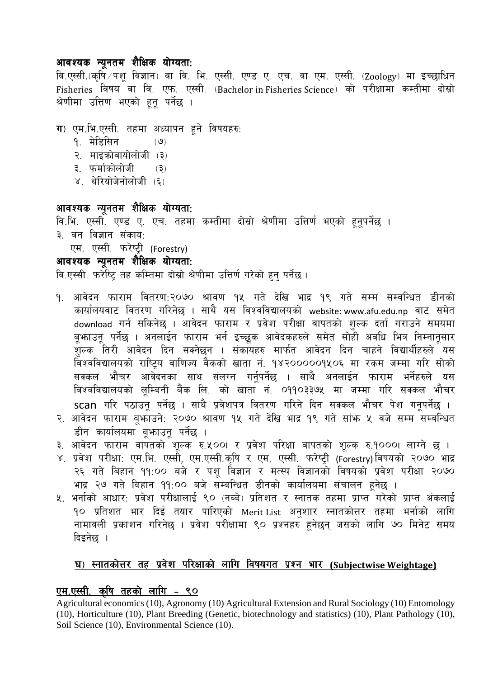#### आवश्यक न्यूनतम शैक्षिक योग्यता:

वि.एस्सी.(कृषि<sup>ं/</sup>पशू विज्ञान) वा वि. भि. एस्सी. एण्ड ए. एच. वा एम. एस्सी. (Zoology) मा इच्छाधिन Fisheries विषय वा वि. एफ. एस्सी. (Bachelor in Fisheries Science) को परीक्षामा कम्तीमा दोस्रो श्रेणीमा उत्तिण भएको हन पर्नेछ ।

## $\Pi$ ) एम.भि.एस्सी. तहमा अध्यापन हूने विषयहरु:

- 1= d]l\*l;g -7\_
- २. माइक्रोवायोलोजी (३)
- ३. फर्माकोलोजी (३)
- $X$ . थेरियोजेनोलोजी  $(5)$

#### आवश्यक न्यूनतम शैक्षिक योग्यता:

वि.भि. एस्सी. एण्ड ए. एच. तहमा कम्तीमा दोस्रो श्रेणीमा उत्तिर्ण भएको हुनूपर्नेछ । ३. वन विज्ञान संकाय:

एम. एस्सी. फरेष्ट्री (Forestry)

# आवश्यक न्यूनतम शैक्षिक योग्यता:

*lj=P:;L= km/]li6« tx slDtdf bf];|f] >]0fLdf plQ0f{ u/]sf] x'g' kg]{5 .* 

- <u>9. आवेदन फाराम वितरण:२०७० श्रावण १५ गते देखि भाद्र १९ गते सम्म सम्वन्धित डीनको</u> कार्यालयवाट वितरण गरिनेछ । साथै यस विश्वविद्यालयको website: www.afu.edu.np वाट समेत download गर्न सकिनेछ । आवेदन फाराम र प्रवेश परीक्षा वापतको शुल्क दर्ता गराउने समयमा बूभाउनू पर्नेछ । अनलाईन फाराम भर्न इच्छूक आवेदकहरुले समेत सोही अवधि भित्र निम्नानूसार ्<br>शुल्क तिरी आवेदन दिन सक्नेछन । संकायहरु मार्फत आवेदन दिन चाहने विद्यार्थीहरुले यस विश्वविद्यालयको राष्ट्रिय वाणिज्य वैकको खाता नं. १४२०००००१५०६ मा रकम जम्मा गरि सोको ;<br>सक्कल भौचर आवेदनका साथ संलग्न गर्नूपर्नेछ । साथै अनलाईन फाराम भर्नेहरुले यस विश्वविद्यालयको लूम्बिनी बैंक लि. को खाता नं. **०**११०३३७५ मा जम्मा गरि सक्कल भौचर scan गरि पठाउनू पर्नेछ । साथै प्रवेशपत्र वितरण गरिने दिन सक्कल भौचर पेश गनूपर्नेछ ।
- २. आवेदन फाराम बूफ्गोउने: २०७० श्रावण १५ गते देखि भाद्र १९ गते सांफ ५ वजे सम्म सम्वन्धित डीन कार्यालयमा बूफाउनू पर्नेछ ।
- ३. आवेदन फाराम वापतको शूल्क रु.५००। र प्रवेश परिक्षा वापतको शूल्क रु.१०००। लाग्ने छ ।
- ४. प्रवेश परीक्षा: एम.भि. एस्सी, एम.एस्सी.कृषि र एम. एस्सी. फरेष्ट्री (Forestry) विषयको २०७० भाद्र २६ गते बिहान ११:०० बजे र पशू विज्ञान र मत्स्य विज्ञानको विषयको प्रवेश परीक्षा २०७० भाद्र २७ गते बिहान ११:०० बजे सम्बन्धित डीनको कार्यालयमा संचालन हूनेछ ।
- ५. भर्नाको आधार: प्रवेश परीक्षालाई ९० (नब्बे) प्रतिशत र स्नातक तहमा प्राप्त<sup>े</sup>गरेको प्राप्त अंकलाई 10 प्रतिशत भार दिई तयार पारिएको Merit-List अनूशार स्नातकोत्तर तहमा भनोको लागि नामावली प्रकाशन गरिनेछ । प्रवेश परीक्षामा ९० प्रश्नहरु हूर्नछन् जसको लागि ७० मिनेट समय दिइनेछ ।

#### <u>घ) स्नातकोत्तर तह प्रवेश परिक्षाको लागि विषयगत प्रश्न भार (Subjectwise Weightage)</u>

#### <u>एम.एस्सी. कृषि तहको लागि - ९०</u>

Agricultural economics (10), Agronomy (10) Agricultural Extension and Rural Sociology (10) Entomology (10), Horticulture (10), Plant Breeding (Genetic, biotechnology and statistics) (10), Plant Pathology (10), Soil Science (10), Environmental Science (10).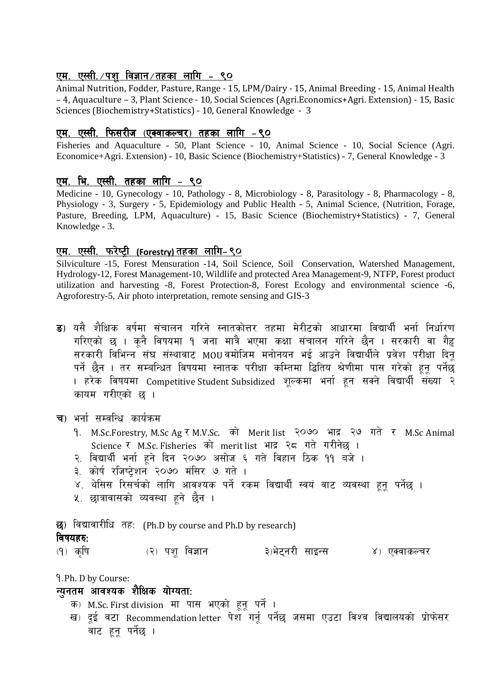#### <u>एम. एस्सी. /पश विज्ञान /तहका लागि - ९०</u>

Animal Nutrition, Fodder, Pasture, Range - 15, LPM/Dairy - 15, Animal Breeding - 15, Animal Health -4, Aquaculture - 3, Plant Science - 10, Social Sciences (Agri.Economics+Agri. Extension) - 15, Basic Sciences (Biochemistry+Statistics) - 10. General Knowledge - 3

#### <u>एम. एस्सी. फिसरीज (एक्वाकल्चर) तहका लागि -९०</u>

Fisheries and Aquaculture - 50, Plant Science - 10, Animal Science - 10, Social Science (Agri. Economice+Agri. Extension) - 10, Basic Science (Biochemistry+Statistics) - 7, General Knowledge - 3

#### एम. भि. एस्सी. तहका लागि - ९०

Medicine - 10, Gynecology - 10, Pathology - 8, Microbiology - 8, Parasitology - 8, Pharmacology - 8, Physiology - 3, Surgery - 5, Epidemiology and Public Health - 5, Animal Science, (Nutrition, Forage, Pasture, Breeding, LPM, Aquaculture) - 15, Basic Science (Biochemistry+Statistics) - 7, General Knowledge - 3.

#### <u>एम. एस्सी. फरेष्ट्री (Forestry)तहका लागि-९०</u>

Silviculture -15, Forest Mensuration -14, Soil Science, Soil Conservation, Watershed Management, Hydrology-12, Forest Management-10, Wildlife and protected Area Management-9, NTFP, Forest product utilization and harvesting -8, Forest Protection-8, Forest Ecology and environmental science -6, Agroforestry-5. Air photo interpretation, remote sensing and GIS-3

ड) यसै शैक्षिक वर्षमा संचालन गरिने स्नातकोत्तर तहमा मेरीटको आधारमा विद्यार्थी भर्ना निर्धारण गरिएको छ । कनै विषयमा १ जना मात्रै भएमा कक्षा संचालन गरिने छैन । सरकारी वा गैह सरकारी विभिन्न<sup>े</sup>संघ संस्थावाट MOUवमोजिम मनोनयन भई आउने विद्यार्थीले प्रवेश परीक्षा दिन पर्ने छैन । तर सम्बन्धित विषयमा स्नातक परीक्षा कम्तिमा द्धितिय श्रेणीमा पास गरेको हुनू पर्नेछ । हरेक विषयमा Competitive Student Subsidized शुल्कमा भर्ना हुन सक्ने विद्यार्थी संख्या २ कायम गरीएको छ ।

च) भर्ना सम्वन्धि कार्यक्रम

- 9. M.Sc.Forestry, M.Sc Ag र M.V.Sc. को Merit list २०७० भाद्र २७ गते र M.Sc Animal Science र M.Sc. Fisheries को merit list भाद्र २८ गते गरीनेछ ।
- २. विद्यार्थी भर्ना हुने दिन २०७० असोज ६ गते विहान ठिक ११ बजे ।
- ३. कोर्ष रजिष्टेशन २०७० मंसिर ७ गते ।
- ४. थेसिस रिसर्चको लागि आवश्यक पर्ने रकम विद्यार्थी स्वयं वाट व्यवस्था हुनू पर्नेछ ।
- ५. छात्रावासको व्यवस्था हने छैन ।

छ) विद्यावारीधि तह: (Ph.D by course and Ph.D by research)

#### विषयहरु:

(२) पश विज्ञान ३)भेटनरी साइन्स ४) एक्वाकल्चर (१) कषि

9. Ph. D by Course:

#### न्यनतम आवश्यक शैक्षिक योग्यता:

क) M.Sc. First division मा पास भएको हुनु पर्ने ।

ख) दुई वटा Recommendation letter पेश गर्नू पर्नेछ जसमा एउटा विश्व विद्यालयको प्रोफेसर ्<br>वाट हन पर्नेछ ।